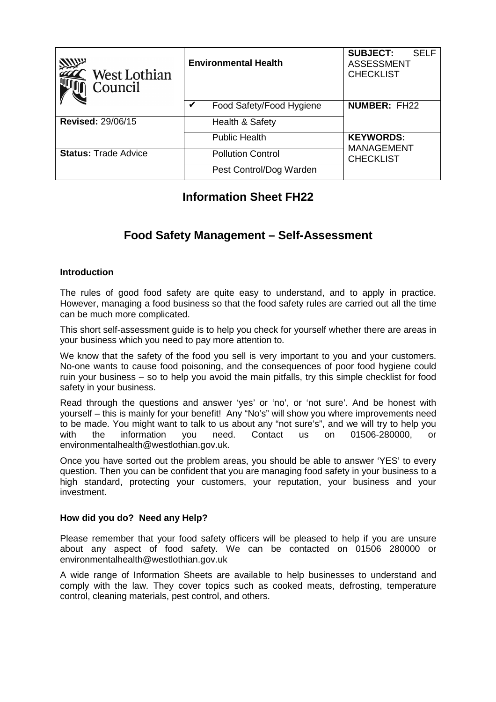| <b>Allin</b><br>$\hat{\phantom{a}}$ West Lothian<br>Council | <b>Environmental Health</b> |                          | <b>SUBJECT:</b><br><b>SELF</b><br><b>ASSESSMENT</b><br><b>CHECKLIST</b> |
|-------------------------------------------------------------|-----------------------------|--------------------------|-------------------------------------------------------------------------|
|                                                             | V                           | Food Safety/Food Hygiene | <b>NUMBER: FH22</b>                                                     |
| <b>Revised: 29/06/15</b>                                    |                             | Health & Safety          |                                                                         |
|                                                             |                             | <b>Public Health</b>     | <b>KEYWORDS:</b>                                                        |
| <b>Status: Trade Advice</b>                                 |                             | <b>Pollution Control</b> | <b>MANAGEMENT</b><br><b>CHECKLIST</b>                                   |
|                                                             |                             | Pest Control/Dog Warden  |                                                                         |

# **Information Sheet FH22**

## **Food Safety Management – Self-Assessment**

### **Introduction**

The rules of good food safety are quite easy to understand, and to apply in practice. However, managing a food business so that the food safety rules are carried out all the time can be much more complicated.

This short self-assessment guide is to help you check for yourself whether there are areas in your business which you need to pay more attention to.

We know that the safety of the food you sell is very important to you and your customers. No-one wants to cause food poisoning, and the consequences of poor food hygiene could ruin your business – so to help you avoid the main pitfalls, try this simple checklist for food safety in your business.

Read through the questions and answer 'yes' or 'no', or 'not sure'. And be honest with yourself – this is mainly for your benefit! Any "No's" will show you where improvements need to be made. You might want to talk to us about any "not sure's", and we will try to help you with the information you need. Contact us on 01506-280000, or environmentalhealth@westlothian.gov.uk.

Once you have sorted out the problem areas, you should be able to answer 'YES' to every question. Then you can be confident that you are managing food safety in your business to a high standard, protecting your customers, your reputation, your business and your investment.

#### **How did you do? Need any Help?**

Please remember that your food safety officers will be pleased to help if you are unsure about any aspect of food safety. We can be contacted on 01506 280000 or environmentalhealth@westlothian.gov.uk

A wide range of Information Sheets are available to help businesses to understand and comply with the law. They cover topics such as cooked meats, defrosting, temperature control, cleaning materials, pest control, and others.